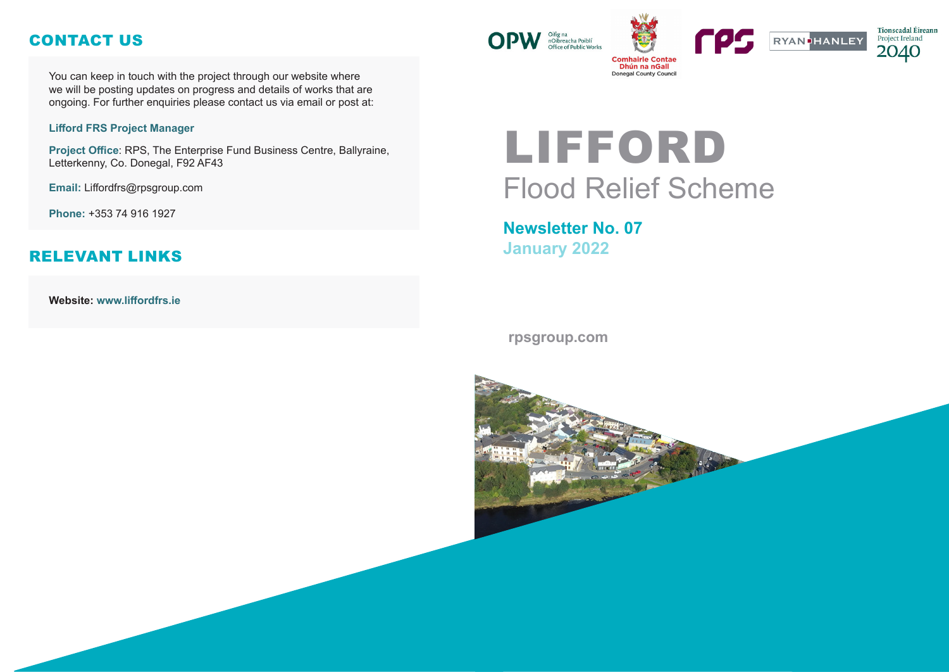# LIFFORD Flood Relief Scheme

## **Newsletter No. 07 January 2022**

#### **rpsgroup.com**







You can keep in touch with the project through our website where we will be posting updates on progress and details of works that are ongoing. For further enquiries please contact us via email or post at:

#### **Lifford FRS Project Manager**

**Project Office**: RPS, The Enterprise Fund Business Centre, Ballyraine, Letterkenny, Co. Donegal, F92 AF43

**Email:** Liffordfrs@rpsgroup.com

**Phone:** +353 74 916 1927

**Website: www.liffordfrs.ie** 



## CONTACT US

### RELEVANT LINKS